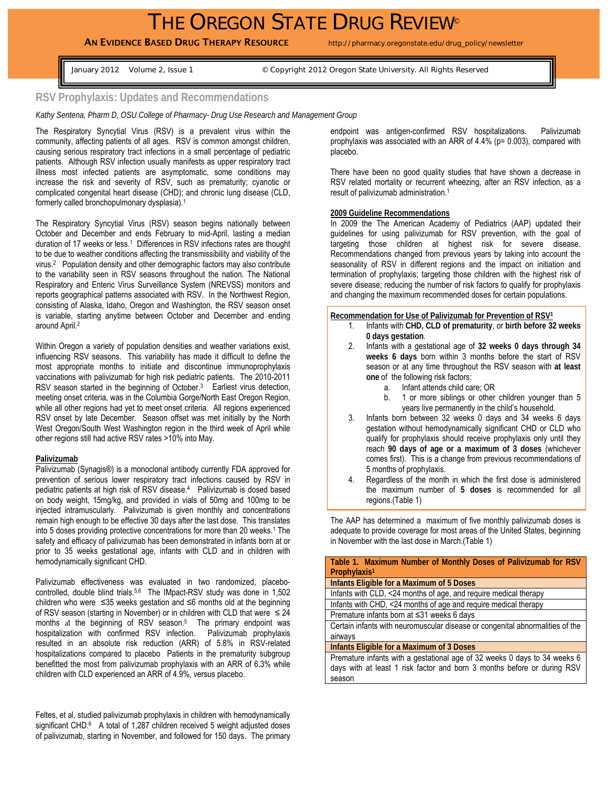# THE OREGON STATE DRUG REVIEW®

## AN EVIDENCE BASED DRUG THERAPY RESOURCE http://pharmacy.oregonstate.edu/drug\_policy/newsletter

January 2012 Volume 2, Issue 1 © Copyright 2012 Oregon State University. All Rights Reserved

## **RSV Prophylaxis: Updates and Recommendations**

*Kathy Sentena, Pharm D, OSU College of Pharmacy- Drug Use Research and Management Group* 

The Respiratory Syncytial Virus (RSV) is a prevalent virus within the community, affecting patients of all ages. RSV is common amongst children, causing serious respiratory tract infections in a small percentage of pediatric patients. Although RSV infection usually manifests as upper respiratory tract illness most infected patients are asymptomatic, some conditions may increase the risk and severity of RSV, such as prematurity; cyanotic or complicated congenital heart disease (CHD); and chronic lung disease (CLD, formerly called bronchopulmonary dysplasia).1

The Respiratory Syncytial Virus (RSV) season begins nationally between October and December and ends February to mid-April, lasting a median duration of 17 weeks or less.<sup>1</sup> Differences in RSV infections rates are thought to be due to weather conditions affecting the transmissibility and viability of the virus.2 Population density and other demographic factors may also contribute to the variability seen in RSV seasons throughout the nation. The National Respiratory and Enteric Virus Surveillance System (NREVSS) monitors and reports geographical patterns associated with RSV. In the Northwest Region, consisting of Alaska, Idaho, Oregon and Washington, the RSV season onset is variable, starting anytime between October and December and ending around April.2

Within Oregon a variety of population densities and weather variations exist, influencing RSV seasons. This variability has made it difficult to define the most appropriate months to initiate and discontinue immunoprophylaxis vaccinations with palivizumab for high risk pediatric patients. The 2010-2011 RSV season started in the beginning of October.<sup>3</sup> Earliest virus detection, meeting onset criteria, was in the Columbia Gorge/North East Oregon Region, while all other regions had yet to meet onset criteria. All regions experienced RSV onset by late December. Season offset was met initially by the North West Oregon/South West Washington region in the third week of April while other regions still had active RSV rates >10% into May.

#### **Palivizumab**

Palivizumab (Synagis®) is a monoclonal antibody currently FDA approved for prevention of serious lower respiratory tract infections caused by RSV in pediatric patients at high risk of RSV disease.4 Palivizumab is dosed based on body weight, 15mg/kg, and provided in vials of 50mg and 100mg to be injected intramuscularly. Palivizumab is given monthly and concentrations remain high enough to be effective 30 days after the last dose. This translates into 5 doses providing protective concentrations for more than 20 weeks.1 The safety and efficacy of palivizumab has been demonstrated in infants born at or prior to 35 weeks gestational age, infants with CLD and in children with hemodynamically significant CHD.

Palivizumab effectiveness was evaluated in two randomized, placebocontrolled, double blind trials.<sup>5,6</sup> The IMpact-RSV study was done in 1,502 children who were ≤35 weeks gestation and ≤6 months old at the beginning of RSV season (starting in November) or in children with CLD that were  $\leq 24$ months at the beginning of RSV season.<sup>5</sup> The primary endpoint was hospitalization with confirmed RSV infection. Palivizumab prophylaxis resulted in an absolute risk reduction (ARR) of 5.8% in RSV-related hospitalizations compared to placebo Patients in the prematurity subgroup benefitted the most from palivizumab prophylaxis with an ARR of 6.3% while children with CLD experienced an ARR of 4.9%, versus placebo.

Feltes, et al, studied palivizumab prophylaxis in children with hemodynamically significant CHD.<sup>6</sup> A total of 1,287 children received 5 weight adjusted doses of palivizumab, starting in November, and followed for 150 days. The primary

endpoint was antigen-confirmed RSV hospitalizations. Palivizumab prophylaxis was associated with an ARR of 4.4% (p= 0.003), compared with placebo.

There have been no good quality studies that have shown a decrease in RSV related mortality or recurrent wheezing, after an RSV infection, as a result of palivizumab administration.1

#### **2009 Guideline Recommendations**

In 2009 the The American Academy of Pediatrics (AAP) updated their guidelines for using palivizumab for RSV prevention, with the goal of targeting those children at highest risk for severe disease. Recommendations changed from previous years by taking into account the seasonality of RSV in different regions and the impact on initiation and termination of prophylaxis; targeting those children with the highest risk of severe disease; reducing the number of risk factors to qualify for prophylaxis and changing the maximum recommended doses for certain populations.

#### **Recommendation for Use of Palivizumab for Prevention of RSV1**

- 1. Infants with **CHD, CLD of prematurity**, or **birth before 32 weeks 0 days gestation**.
- 2. Infants with a gestational age of **32 weeks 0 days through 34 weeks 6 days** born within 3 months before the start of RSV season or at any time throughout the RSV season with **at least one** of the following risk factors:
	- a. Infant attends child care; OR
	- b. 1 or more siblings or other children younger than 5 years live permanently in the child's household.
- 3. Infants born between 32 weeks 0 days and 34 weeks 6 days gestation without hemodynamically significant CHD or CLD who qualify for prophylaxis should receive prophylaxis only until they reach **90 days of age or a maximum of 3 doses** (whichever comes first). This is a change from previous recommendations of 5 months of prophylaxis.
- 4. Regardless of the month in which the first dose is administered the maximum number of **5 doses** is recommended for all regions.(Table 1)

The AAP has determined a maximum of five monthly palivizumab doses is adequate to provide coverage for most areas of the United States, beginning in November with the last dose in March.(Table 1)

| Table 1. Maximum Number of Monthly Doses of Palivizumab for RSV               |
|-------------------------------------------------------------------------------|
| Prophylaxis <sup>1</sup>                                                      |
| Infants Eligible for a Maximum of 5 Doses                                     |
| Infants with CLD, <24 months of age, and require medical therapy              |
| Infants with CHD, <24 months of age and require medical therapy               |
| Premature infants born at ≤31 weeks 6 days                                    |
| Certain infants with neuromuscular disease or congenital abnormalities of the |
| airways                                                                       |
| Infants Eligible for a Maximum of 3 Doses                                     |
| Premature infants with a gestational age of 32 weeks 0 days to 34 weeks 6     |
| days with at least 1 risk factor and born 3 months before or during RSV       |
| season                                                                        |